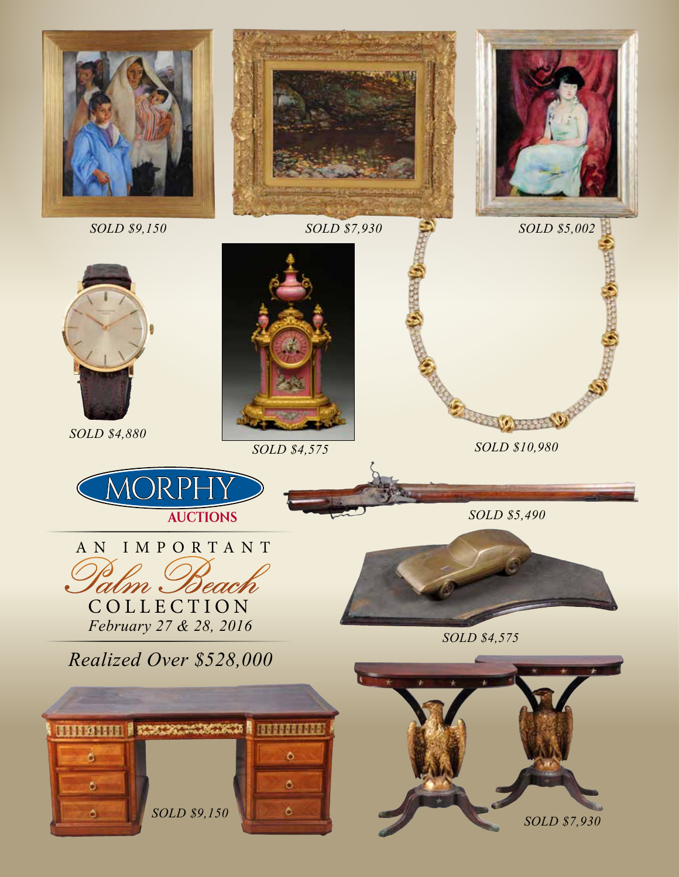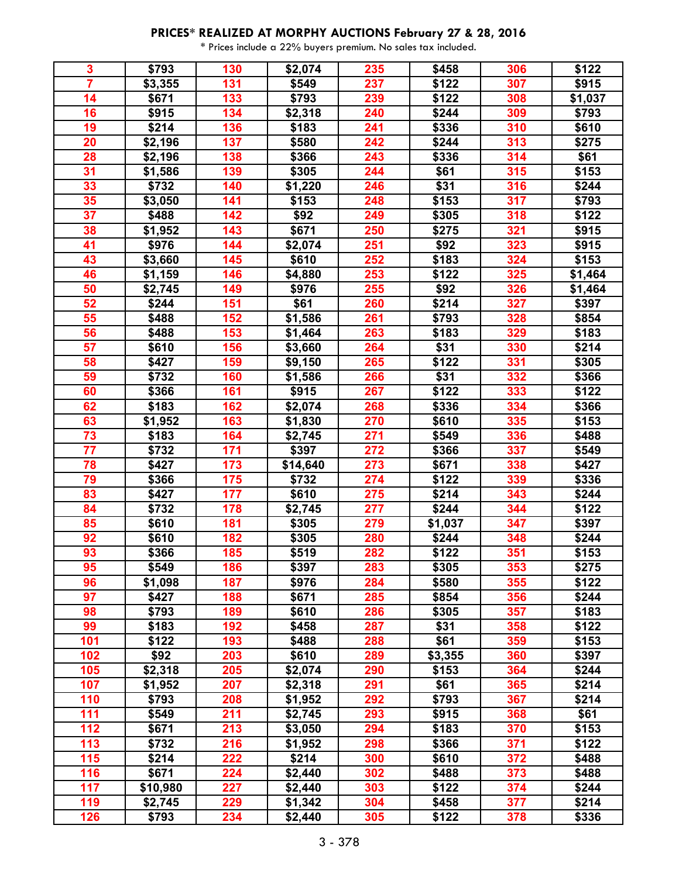| 3                       | \$793    | 130 | \$2,074  | 235 | \$458   | 306 | \$122   |
|-------------------------|----------|-----|----------|-----|---------|-----|---------|
| $\overline{\mathbf{7}}$ | \$3,355  | 131 | \$549    | 237 | \$122   | 307 | \$915   |
| 14                      | \$671    | 133 | \$793    | 239 | \$122   | 308 | \$1,037 |
| 16                      | \$915    | 134 | \$2,318  | 240 | \$244   | 309 | \$793   |
| 19                      | \$214    | 136 | \$183    | 241 | \$336   | 310 | \$610   |
| 20                      | \$2,196  | 137 | \$580    | 242 | \$244   | 313 | \$275   |
| 28                      | \$2,196  | 138 | \$366    | 243 | \$336   | 314 | \$61    |
| 31                      | \$1,586  | 139 | \$305    | 244 | \$61    | 315 | \$153   |
| 33                      | \$732    | 140 | \$1,220  | 246 | \$31    | 316 | \$244   |
| 35                      | \$3,050  | 141 | \$153    | 248 | \$153   | 317 | \$793   |
| $\overline{37}$         | \$488    | 142 | \$92     | 249 | \$305   | 318 | \$122   |
| 38                      | \$1,952  | 143 | \$671    | 250 | \$275   | 321 | \$915   |
| 41                      | \$976    | 144 | \$2,074  | 251 | \$92    | 323 | \$915   |
| 43                      | \$3,660  | 145 | \$610    | 252 | \$183   | 324 | \$153   |
| 46                      | \$1,159  | 146 | \$4,880  | 253 | \$122   | 325 | \$1,464 |
| 50                      | \$2,745  | 149 | \$976    | 255 | \$92    | 326 | \$1,464 |
| 52                      | \$244    | 151 | \$61     | 260 | \$214   | 327 | \$397   |
| 55                      | \$488    | 152 | \$1,586  | 261 | \$793   | 328 | \$854   |
| 56                      | \$488    | 153 | \$1,464  | 263 | \$183   | 329 | \$183   |
| 57                      | \$610    | 156 | \$3,660  | 264 | \$31    | 330 | \$214   |
| 58                      | \$427    | 159 | \$9,150  | 265 | \$122   | 331 | \$305   |
| 59                      | \$732    | 160 | \$1,586  | 266 | \$31    | 332 | \$366   |
| 60                      | \$366    | 161 | \$915    | 267 | \$122   | 333 | \$122   |
| 62                      | \$183    | 162 | \$2,074  | 268 | \$336   | 334 | \$366   |
| 63                      | \$1,952  | 163 | \$1,830  | 270 | \$610   | 335 | \$153   |
| $\overline{73}$         | \$183    | 164 | \$2,745  | 271 | \$549   | 336 | \$488   |
| $\overline{77}$         | \$732    | 171 | \$397    | 272 | \$366   | 337 | \$549   |
| 78                      | \$427    | 173 | \$14,640 | 273 | \$671   | 338 | \$427   |
| 79                      | \$366    | 175 | \$732    | 274 | \$122   | 339 | \$336   |
| 83                      | \$427    | 177 | \$610    | 275 | \$214   | 343 | \$244   |
| 84                      | \$732    | 178 | \$2,745  | 277 | \$244   | 344 | \$122   |
| 85                      | \$610    | 181 | \$305    | 279 | \$1,037 | 347 | \$397   |
| 92                      | \$610    | 182 | \$305    | 280 | \$244   | 348 | \$244   |
| 93                      | \$366    | 185 | \$519    | 282 | \$122   | 351 | \$153   |
| 95                      | \$549    | 186 | \$397    | 283 | \$305   | 353 | \$275   |
| 96                      | \$1,098  | 187 | \$976    | 284 | \$580   | 355 | \$122   |
| 97                      | \$427    | 188 | \$671    | 285 | \$854   | 356 | \$244   |
| 98                      | \$793    | 189 | \$610    | 286 | \$305   | 357 | \$183   |
| 99                      | \$183    | 192 | \$458    | 287 | \$31    | 358 | \$122   |
| 101                     | \$122    | 193 | \$488    | 288 | \$61    | 359 | \$153   |
| 102                     | \$92     | 203 | \$610    | 289 | \$3,355 | 360 | \$397   |
| 105                     | \$2,318  | 205 | \$2,074  | 290 | \$153   | 364 | \$244   |
| 107                     | \$1,952  | 207 | \$2,318  | 291 | \$61    | 365 | \$214   |
| 110                     | \$793    | 208 | \$1,952  | 292 | \$793   | 367 | \$214   |
| 111                     | \$549    | 211 | \$2,745  | 293 | \$915   | 368 | \$61    |
| 112                     | \$671    | 213 | \$3,050  | 294 | \$183   | 370 | \$153   |
| 113                     | \$732    | 216 | \$1,952  | 298 | \$366   | 371 | \$122   |
| 115                     | \$214    | 222 | \$214    | 300 | \$610   | 372 | \$488   |
| 116                     | \$671    | 224 | \$2,440  | 302 | \$488   | 373 | \$488   |
| 117                     | \$10,980 | 227 | \$2,440  | 303 | \$122   | 374 | \$244   |
| 119                     | \$2,745  | 229 | \$1,342  | 304 | \$458   | 377 | \$214   |
| 126                     | \$793    | 234 | \$2,440  | 305 | \$122   | 378 | \$336   |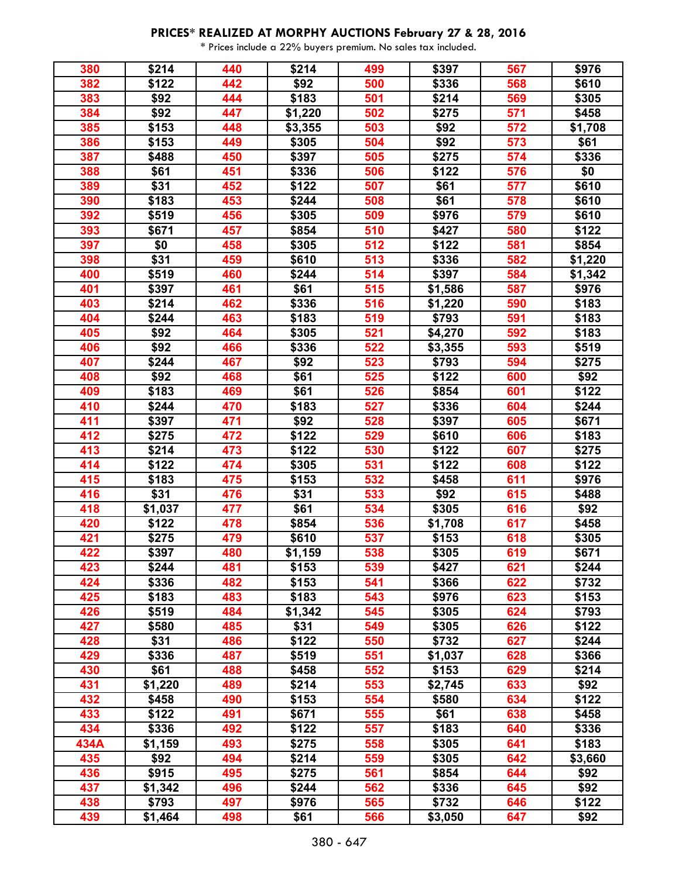| 380  | \$214   | 440 | \$214   | 499 | \$397            | 567 | \$976   |
|------|---------|-----|---------|-----|------------------|-----|---------|
| 382  | \$122   | 442 | \$92    | 500 | \$336            | 568 | \$610   |
| 383  | \$92    | 444 | \$183   | 501 | \$214            | 569 | \$305   |
| 384  | \$92    | 447 | \$1,220 | 502 | \$275            | 571 | \$458   |
| 385  | \$153   | 448 | \$3,355 | 503 | \$92             | 572 | \$1,708 |
| 386  | \$153   | 449 | \$305   | 504 | \$92             | 573 | \$61    |
| 387  | \$488   | 450 | \$397   | 505 | \$275            | 574 | \$336   |
| 388  | \$61    | 451 | \$336   | 506 | \$122            | 576 | \$0     |
| 389  | \$31    | 452 | \$122   | 507 | \$61             | 577 | \$610   |
| 390  | \$183   | 453 | \$244   | 508 | \$61             | 578 | \$610   |
| 392  | \$519   | 456 | \$305   | 509 | \$976            | 579 | \$610   |
| 393  | \$671   | 457 | \$854   | 510 | \$427            | 580 | \$122   |
| 397  | \$0     | 458 | \$305   | 512 | \$122            | 581 | \$854   |
| 398  | \$31    | 459 | \$610   | 513 | \$336            | 582 | \$1,220 |
| 400  | \$519   | 460 | \$244   | 514 | \$397            | 584 | \$1,342 |
| 401  | \$397   | 461 | \$61    | 515 | \$1,586          | 587 | \$976   |
| 403  | \$214   | 462 | \$336   | 516 | \$1,220          | 590 | \$183   |
| 404  | \$244   | 463 | \$183   | 519 | \$793            | 591 | \$183   |
| 405  | \$92    | 464 | \$305   | 521 | \$4,270          | 592 | \$183   |
| 406  | \$92    | 466 | \$336   | 522 | \$3,355          | 593 | \$519   |
| 407  | \$244   | 467 | \$92    | 523 | \$793            | 594 | \$275   |
| 408  | \$92    | 468 | \$61    | 525 | \$122            | 600 | \$92    |
| 409  | \$183   | 469 | \$61    | 526 | \$854            | 601 | \$122   |
| 410  | \$244   | 470 | \$183   | 527 | \$336            | 604 | \$244   |
| 411  | \$397   | 471 | \$92    | 528 | \$397            | 605 | \$671   |
| 412  | \$275   | 472 | \$122   | 529 | \$610            | 606 | \$183   |
| 413  | \$214   | 473 | \$122   | 530 | \$122            | 607 | \$275   |
| 414  | \$122   | 474 | \$305   | 531 | \$122            | 608 | \$122   |
| 415  | \$183   | 475 | \$153   | 532 | \$458            | 611 | \$976   |
| 416  | \$31    | 476 | \$31    | 533 | \$92             | 615 | \$488   |
| 418  | \$1,037 | 477 | \$61    | 534 | \$305            | 616 | \$92    |
| 420  | \$122   | 478 | \$854   | 536 |                  | 617 | \$458   |
| 421  | \$275   | 479 | \$610   | 537 | \$1,708<br>\$153 | 618 | \$305   |
|      |         |     |         |     |                  |     |         |
| 422  | \$397   | 480 | \$1,159 | 538 | \$305            | 619 | \$671   |
| 423  | \$244   | 481 | \$153   | 539 | \$427            | 621 | \$244   |
| 424  | \$336   | 482 | \$153   | 541 | \$366            | 622 | \$732   |
| 425  | \$183   | 483 | \$183   | 543 | \$976            | 623 | \$153   |
| 426  | \$519   | 484 | \$1,342 | 545 | \$305            | 624 | \$793   |
| 427  | \$580   | 485 | \$31    | 549 | \$305            | 626 | \$122   |
| 428  | \$31    | 486 | \$122   | 550 | \$732            | 627 | \$244   |
| 429  | \$336   | 487 | \$519   | 551 | \$1,037          | 628 | \$366   |
| 430  | \$61    | 488 | \$458   | 552 | \$153            | 629 | \$214   |
| 431  | \$1,220 | 489 | \$214   | 553 | \$2,745          | 633 | \$92    |
| 432  | \$458   | 490 | \$153   | 554 | \$580            | 634 | \$122   |
| 433  | \$122   | 491 | \$671   | 555 | \$61             | 638 | \$458   |
| 434  | \$336   | 492 | \$122   | 557 | \$183            | 640 | \$336   |
| 434A | \$1,159 | 493 | \$275   | 558 | \$305            | 641 | \$183   |
| 435  | \$92    | 494 | \$214   | 559 | \$305            | 642 | \$3,660 |
| 436  | \$915   | 495 | \$275   | 561 | \$854            | 644 | \$92    |
| 437  | \$1,342 | 496 | \$244   | 562 | \$336            | 645 | \$92    |
| 438  | \$793   | 497 | \$976   | 565 | \$732            | 646 | \$122   |
| 439  | \$1,464 | 498 | \$61    | 566 | \$3,050          | 647 | \$92    |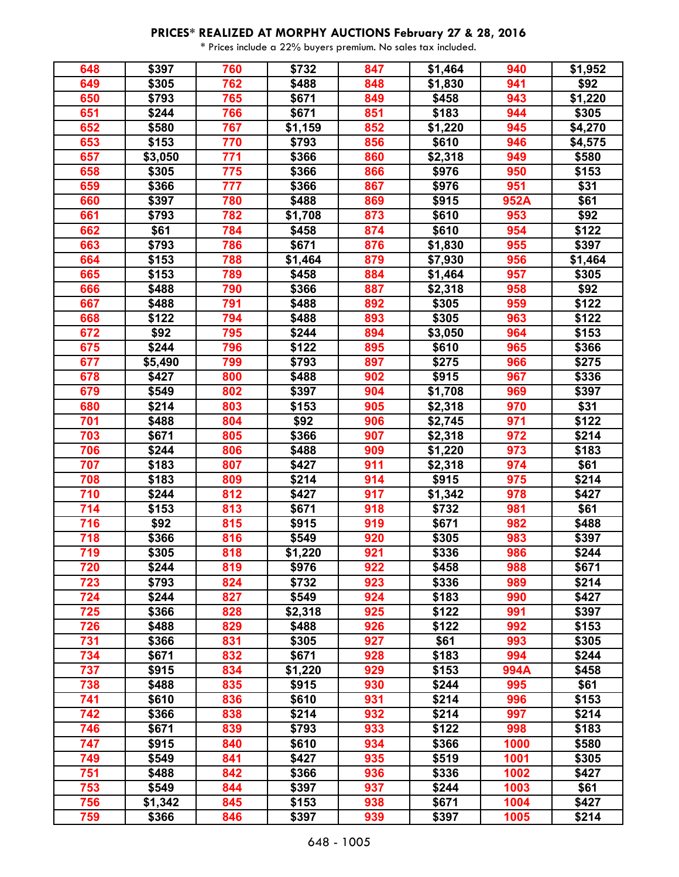| 648 | \$397   | 760 | \$732   | 847 | \$1,464 | 940  | \$1,952 |
|-----|---------|-----|---------|-----|---------|------|---------|
| 649 | \$305   | 762 | \$488   | 848 | \$1,830 | 941  | \$92    |
| 650 | \$793   | 765 | \$671   | 849 | \$458   | 943  | \$1,220 |
| 651 | \$244   | 766 | \$671   | 851 | \$183   | 944  | \$305   |
| 652 | \$580   | 767 | \$1,159 | 852 | \$1,220 | 945  | \$4,270 |
| 653 | \$153   | 770 | \$793   | 856 | \$610   | 946  | \$4,575 |
| 657 | \$3,050 | 771 | \$366   | 860 | \$2,318 | 949  | \$580   |
| 658 | \$305   | 775 | \$366   | 866 | \$976   | 950  | \$153   |
| 659 | \$366   | 777 | \$366   | 867 | \$976   | 951  | \$31    |
| 660 | \$397   | 780 | \$488   | 869 | \$915   | 952A | \$61    |
| 661 | \$793   | 782 | \$1,708 | 873 | \$610   | 953  | \$92    |
| 662 | \$61    | 784 | \$458   | 874 | \$610   | 954  | \$122   |
| 663 | \$793   | 786 | \$671   | 876 | \$1,830 | 955  | \$397   |
| 664 | \$153   | 788 | \$1,464 | 879 | \$7,930 | 956  | \$1,464 |
| 665 | \$153   | 789 | \$458   | 884 | \$1,464 | 957  | \$305   |
| 666 | \$488   | 790 | \$366   | 887 | \$2,318 | 958  | \$92    |
| 667 | \$488   | 791 | \$488   | 892 | \$305   | 959  | \$122   |
| 668 | \$122   | 794 | \$488   | 893 | \$305   | 963  | \$122   |
| 672 | \$92    | 795 | \$244   | 894 | \$3,050 | 964  | \$153   |
| 675 | \$244   | 796 | \$122   | 895 | \$610   | 965  | \$366   |
| 677 | \$5,490 | 799 | \$793   | 897 | \$275   | 966  | \$275   |
| 678 | \$427   | 800 | \$488   | 902 | \$915   | 967  | \$336   |
| 679 | \$549   | 802 | \$397   | 904 | \$1,708 | 969  | \$397   |
| 680 | \$214   | 803 | \$153   | 905 | \$2,318 | 970  | \$31    |
| 701 | \$488   | 804 | \$92    | 906 | \$2,745 | 971  | \$122   |
| 703 | 3671    | 805 | \$366   | 907 | \$2,318 | 972  | \$214   |
| 706 | \$244   | 806 | \$488   | 909 | \$1,220 | 973  | \$183   |
| 707 | \$183   | 807 | \$427   | 911 | \$2,318 | 974  | \$61    |
| 708 | \$183   | 809 | \$214   | 914 | \$915   | 975  | \$214   |
| 710 | \$244   | 812 | \$427   | 917 | \$1,342 | 978  | \$427   |
| 714 | \$153   | 813 | \$671   | 918 | \$732   | 981  | \$61    |
| 716 | \$92    | 815 | \$915   | 919 | \$671   | 982  | \$488   |
| 718 | \$366   | 816 | \$549   | 920 | \$305   | 983  | \$397   |
| 719 | \$305   | 818 | \$1,220 | 921 | \$336   | 986  | \$244   |
| 720 | \$244   | 819 | \$976   | 922 | \$458   | 988  | \$671   |
| 723 | \$793   | 824 | \$732   | 923 | \$336   | 989  | \$214   |
| 724 | \$244   | 827 | \$549   | 924 | \$183   | 990  | \$427   |
| 725 | \$366   | 828 | \$2,318 | 925 | \$122   | 991  | \$397   |
| 726 | \$488   | 829 | \$488   | 926 | \$122   | 992  | \$153   |
| 731 | \$366   | 831 | \$305   | 927 | \$61    | 993  | \$305   |
| 734 | \$671   | 832 | \$671   | 928 | \$183   | 994  | \$244   |
| 737 | \$915   | 834 | \$1,220 | 929 | \$153   | 994A | \$458   |
| 738 | \$488   | 835 | \$915   | 930 | \$244   | 995  | \$61    |
| 741 | \$610   | 836 | \$610   | 931 | \$214   | 996  | \$153   |
| 742 | \$366   | 838 | \$214   | 932 | \$214   | 997  | \$214   |
| 746 | \$671   | 839 | \$793   | 933 | \$122   | 998  | \$183   |
| 747 | \$915   | 840 | \$610   | 934 | \$366   | 1000 | \$580   |
| 749 | \$549   | 841 | \$427   | 935 | \$519   | 1001 | \$305   |
| 751 | \$488   | 842 | \$366   | 936 | \$336   | 1002 | \$427   |
| 753 | \$549   | 844 | \$397   | 937 | \$244   | 1003 | \$61    |
| 756 | \$1,342 | 845 | \$153   | 938 | \$671   | 1004 | \$427   |
| 759 | \$366   | 846 | \$397   | 939 | \$397   | 1005 | \$214   |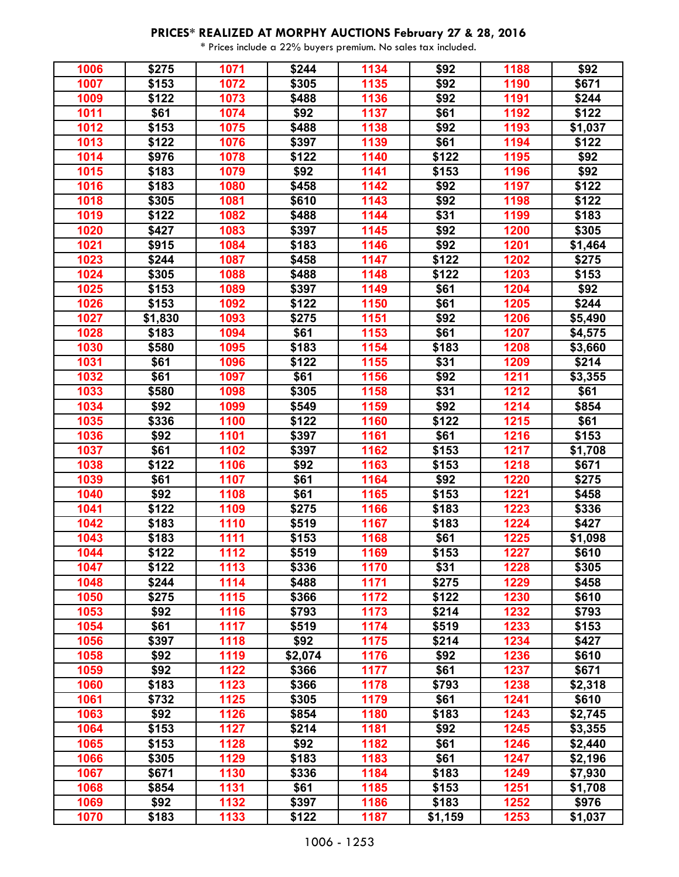| 1006 | \$275            | 1071 | \$244               | 1134         | \$92    | 1188         | \$92    |
|------|------------------|------|---------------------|--------------|---------|--------------|---------|
| 1007 | \$153            | 1072 | \$305               | 1135         | \$92    | 1190         | \$671   |
| 1009 | \$122            | 1073 | \$488               | 1136         | \$92    | 1191         | \$244   |
| 1011 | \$61             | 1074 | \$92                | 1137         | \$61    | 1192         | \$122   |
| 1012 | \$153            | 1075 | \$488               | 1138         | \$92    | 1193         | \$1,037 |
| 1013 | \$122            | 1076 | \$397               | 1139         | \$61    | 1194         | \$122   |
| 1014 | \$976            | 1078 | \$122               | 1140         | \$122   | 1195         | \$92    |
| 1015 | \$183            | 1079 | \$92                | 1141         | \$153   | 1196         | \$92    |
| 1016 | \$183            | 1080 | \$458               | 1142         | \$92    | 1197         | \$122   |
| 1018 | \$305            | 1081 | \$610               | 1143         | \$92    | 1198         | \$122   |
| 1019 | \$122            | 1082 | \$488               | 1144         | \$31    | 1199         | \$183   |
| 1020 | \$427            | 1083 | \$397               | 1145         | \$92    | 1200         | \$305   |
| 1021 | \$915            | 1084 | \$183               | 1146         | \$92    | 1201         | \$1,464 |
| 1023 | \$244            | 1087 | \$458               | 1147         | \$122   | 1202         | \$275   |
| 1024 | \$305            | 1088 | \$488               | 1148         | \$122   | 1203         | \$153   |
| 1025 | \$153            | 1089 | \$397               | 1149         | \$61    | 1204         | \$92    |
| 1026 | \$153            | 1092 | \$122               | 1150         | \$61    | 1205         | \$244   |
| 1027 |                  | 1093 |                     |              | \$92    |              |         |
| 1028 | \$1,830<br>\$183 | 1094 | \$275               | 1151<br>1153 |         | 1206<br>1207 | \$5,490 |
| 1030 |                  | 1095 | \$61                |              | \$61    |              | \$4,575 |
|      | \$580            |      | \$183               | 1154         | \$183   | 1208         | \$3,660 |
| 1031 | \$61             | 1096 | $\overline{\$}$ 122 | 1155         | \$31    | 1209         | \$214   |
| 1032 | \$61             | 1097 | \$61                | 1156         | \$92    | 1211         | \$3,355 |
| 1033 | \$580            | 1098 | \$305               | 1158         | \$31    | 1212         | \$61    |
| 1034 | \$92             | 1099 | \$549               | 1159         | \$92    | 1214         | \$854   |
| 1035 | \$336            | 1100 | \$122               | 1160         | \$122   | 1215         | \$61    |
| 1036 | \$92             | 1101 | \$397               | 1161         | \$61    | 1216         | \$153   |
| 1037 | \$61             | 1102 | $\frac{1}{1}$ \$397 | 1162         | \$153   | 1217         | \$1,708 |
| 1038 | \$122            | 1106 | \$92                | 1163         | \$153   | 1218         | \$671   |
| 1039 | \$61             | 1107 | \$61                | 1164         | \$92    | 1220         | \$275   |
| 1040 | \$92             | 1108 | \$61                | 1165         | \$153   | 1221         | \$458   |
| 1041 | \$122            | 1109 | \$275               | 1166         | \$183   | 1223         | \$336   |
| 1042 | \$183            | 1110 | \$519               | 1167         | \$183   | 1224         | \$427   |
| 1043 | \$183            | 1111 | \$153               | 1168         | \$61    | 1225         | \$1,098 |
| 1044 | \$122            | 1112 | \$519               | 1169         | \$153   | 1227         | \$610   |
| 1047 | \$122            | 1113 | \$336               | 1170         | \$31    | 1228         | \$305   |
| 1048 | \$244            | 1114 | \$488               | 1171         | \$275   | 1229         | \$458   |
| 1050 | \$275            | 1115 | \$366               | 1172         | \$122   | 1230         | \$610   |
| 1053 | \$92             | 1116 | \$793               | 1173         | \$214   | 1232         | \$793   |
| 1054 | \$61             | 1117 | \$519               | 1174         | \$519   | 1233         | \$153   |
| 1056 | \$397            | 1118 | \$92                | 1175         | \$214   | 1234         | \$427   |
| 1058 | \$92             | 1119 | \$2,074             | 1176         | \$92    | 1236         | \$610   |
| 1059 | \$92             | 1122 | \$366               | 1177         | \$61    | 1237         | \$671   |
| 1060 | \$183            | 1123 | \$366               | 1178         | \$793   | 1238         | \$2,318 |
| 1061 | \$732            | 1125 | \$305               | 1179         | \$61    | 1241         | \$610   |
| 1063 | \$92             | 1126 | \$854               | 1180         | \$183   | 1243         | \$2,745 |
| 1064 | \$153            | 1127 | \$214               | 1181         | \$92    | 1245         | \$3,355 |
| 1065 | \$153            | 1128 | \$92                | 1182         | \$61    | 1246         | \$2,440 |
| 1066 | \$305            | 1129 | \$183               | 1183         | \$61    | 1247         | \$2,196 |
| 1067 | \$671            | 1130 | \$336               | 1184         | \$183   | 1249         | \$7,930 |
| 1068 | \$854            | 1131 | \$61                | 1185         | \$153   | 1251         | \$1,708 |
| 1069 | \$92             | 1132 | \$397               | 1186         | \$183   | 1252         | \$976   |
| 1070 | \$183            | 1133 | \$122               | 1187         | \$1,159 | 1253         | \$1,037 |
|      |                  |      |                     |              |         |              |         |